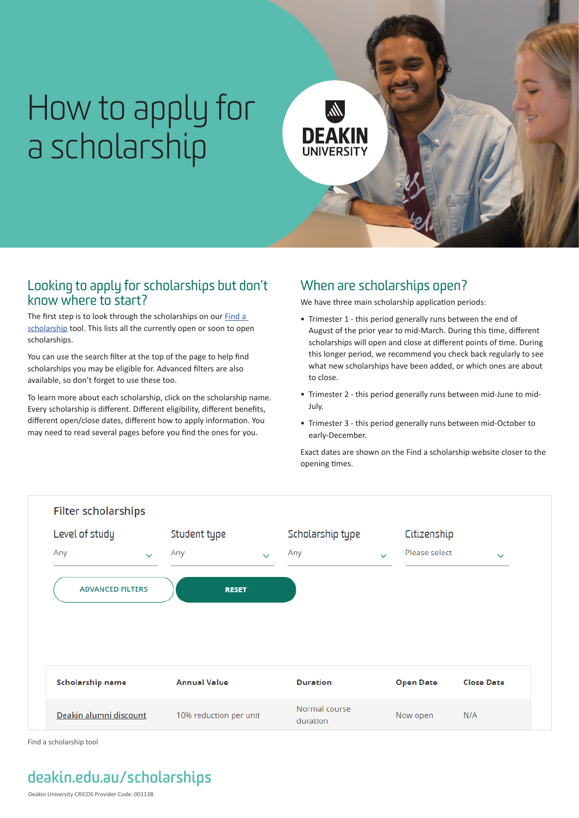# How to apply for a scholarship



### Looking to apply for scholarships but don't know where to start?

The first step is to look through the scholarships on our **Find a** [scholarship](https://www.deakin.edu.au/study/fees-and-scholarships/scholarships/find-a-scholarship) tool. This lists all the currently open or soon to open scholarships.

You can use the search filter at the top of the page to help find scholarships you may be eligible for. Advanced filters are also available, so don't forget to use these too.

To learn more about each scholarship, click on the scholarship name. Every scholarship is different. Different eligibility, different benefits, different open/close dates, different how to apply information. You may need to read several pages before you find the ones for you.

## When are scholarships open?

We have three main scholarship application periods:

- Trimester 1 this period generally runs between the end of August of the prior year to mid-March. During this time, different scholarships will open and close at different points of time. During this longer period, we recommend you check back regularly to see what new scholarships have been added, or which ones are about to close.
- Trimester 2 this period generally runs between mid-June to mid-July.
- Trimester 3 this period generally runs between mid-October to early-December.

Exact dates are shown on the Find a scholarship website closer to the opening times.



Find a scholarship tool

# **[deakin.edu.au/](http://deakin.edu.au/learning-centres)scholarships**